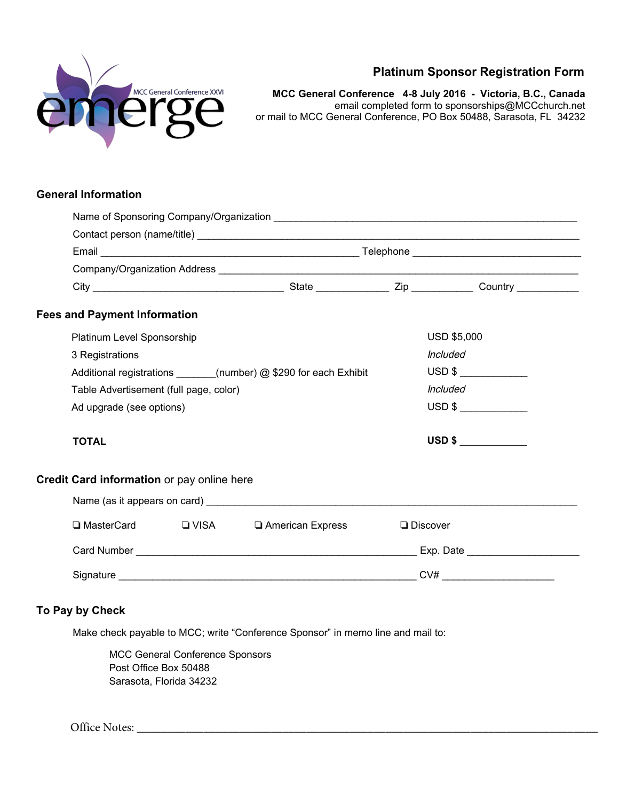

# **Platinum Sponsor Registration Form**

**MCC General Conference 4-8 July 2016 - Victoria, B.C., Canada**  email completed form to sponsorships@MCCchurch.net or mail to MCC General Conference, PO Box 50488, Sarasota, FL 34232

## **General Information**

|  | <b>Fees and Payment Information</b>                              |  |                                                                |                 |        |  |  |  |
|--|------------------------------------------------------------------|--|----------------------------------------------------------------|-----------------|--------|--|--|--|
|  | Platinum Level Sponsorship                                       |  | <b>USD \$5,000</b>                                             |                 |        |  |  |  |
|  | 3 Registrations                                                  |  | <i><b>Included</b></i>                                         |                 |        |  |  |  |
|  | Additional registrations ______(number) @ \$290 for each Exhibit |  | $\overline{\text{USD 8}}$                                      |                 |        |  |  |  |
|  | Table Advertisement (full page, color)                           |  | <i><b>Included</b></i>                                         |                 |        |  |  |  |
|  | Ad upgrade (see options)                                         |  | $USD$ \$                                                       |                 |        |  |  |  |
|  | <b>TOTAL</b>                                                     |  |                                                                |                 | USD \$ |  |  |  |
|  | Credit Card information or pay online here                       |  |                                                                |                 |        |  |  |  |
|  |                                                                  |  |                                                                |                 |        |  |  |  |
|  |                                                                  |  | $\square$ MasterCard $\square$ VISA $\square$ American Express | $\Box$ Discover |        |  |  |  |
|  |                                                                  |  |                                                                |                 |        |  |  |  |
|  |                                                                  |  |                                                                |                 |        |  |  |  |
|  |                                                                  |  |                                                                |                 |        |  |  |  |

## **To Pay by Check**

Make check payable to MCC; write "Conference Sponsor" in memo line and mail to:

MCC General Conference Sponsors Post Office Box 50488 Sarasota, Florida 34232